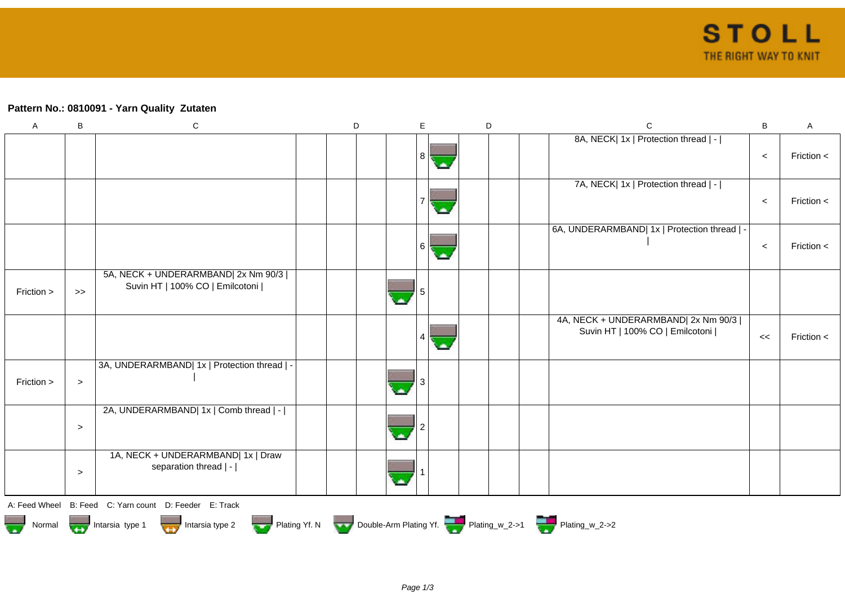## **Pattern No.: 0810091 - Yarn Quality Zutaten**

| $\mathsf A$   | B      | ${\bf C}$                                                                | D | E              | D | $\mathsf{C}$                                                             | B     | A            |
|---------------|--------|--------------------------------------------------------------------------|---|----------------|---|--------------------------------------------------------------------------|-------|--------------|
|               |        |                                                                          |   | 8              |   | 8A, NECK  1x   Protection thread   -                                     | $\,<$ | Friction $<$ |
|               |        |                                                                          |   |                |   | 7A, NECK   1x   Protection thread   -                                    | $\,<$ | Friction $<$ |
|               |        |                                                                          |   | $6 \mid$<br>ь. |   | 6A, UNDERARMBAND  1x   Protection thread   -                             | $\,<$ | Friction <   |
| Friction >    | $>\!>$ | 5A, NECK + UNDERARMBAND  2x Nm 90/3  <br>Suvin HT   100% CO   Emilcotoni |   |                |   |                                                                          |       |              |
|               |        |                                                                          |   | 4              |   | 4A, NECK + UNDERARMBAND  2x Nm 90/3  <br>Suvin HT   100% CO   Emilcotoni | <<    | Friction <   |
| Friction >    | $\, >$ | 3A, UNDERARMBAND  1x   Protection thread   -                             |   |                |   |                                                                          |       |              |
|               | $\, >$ | 2A, UNDERARMBAND  1x   Comb thread   -                                   |   |                |   |                                                                          |       |              |
|               | $\geq$ | 1A, NECK + UNDERARMBAND  1x   Draw<br>separation thread   -              |   |                |   |                                                                          |       |              |
| A: Feed Wheel |        | B: Feed C: Yarn count D: Feeder E: Track                                 |   |                |   |                                                                          |       |              |
| 775<br>Normal |        | Intarsia type 1<br>Intarsia type 2                                       |   |                |   | Plating Yf. N Double-Arm Plating Yf. Plating_w_2->1 Plating_w_2->2       |       |              |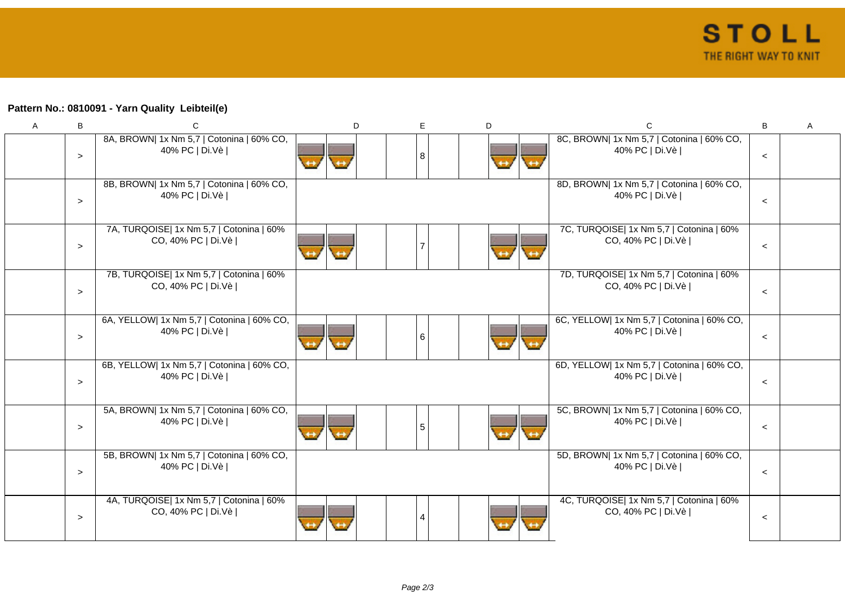## **Pattern No.: 0810091 - Yarn Quality Leibteil(e)**

| $\mathsf{A}$ | B      | C                                                              | D | E. | D | C                                                              | B     | Α |
|--------------|--------|----------------------------------------------------------------|---|----|---|----------------------------------------------------------------|-------|---|
|              | $\geq$ | 8A, BROWN  1x Nm 5,7   Cotonina   60% CO,<br>40% PC   Di.Vè    |   | 8  |   | 8C, BROWN  1x Nm 5,7   Cotonina   60% CO,<br>40% PC   Di.Vè    | $\,<$ |   |
|              | $\geq$ | 8B, BROWN  1x Nm 5,7   Cotonina   60% CO,<br>40% PC   Di.Vè    |   |    |   | 8D, BROWN  1x Nm 5,7   Cotonina   60% CO,<br>40% PC   Di.Vè    | $\,<$ |   |
|              | $\geq$ | 7A, TURQOISE  1x Nm 5,7   Cotonina   60%<br>CO, 40% PC   Di.Vè |   |    |   | 7C, TURQOISE  1x Nm 5,7   Cotonina   60%<br>CO, 40% PC   Di.Vè | $\,<$ |   |
|              | $\geq$ | 7B, TURQOISE  1x Nm 5,7   Cotonina   60%<br>CO, 40% PC   Di.Vè |   |    |   | 7D, TURQOISE  1x Nm 5,7   Cotonina   60%<br>CO, 40% PC   Di.Vè | $\,<$ |   |
|              | $\geq$ | 6A, YELLOW  1x Nm 5,7   Cotonina   60% CO,<br>40% PC   Di.Vè   |   | 6  |   | 6C, YELLOW  1x Nm 5,7   Cotonina   60% CO,<br>40% PC   Di.Vè   | $\,<$ |   |
|              | $\geq$ | 6B, YELLOW  1x Nm 5,7   Cotonina   60% CO,<br>40% PC   Di.Vè   |   |    |   | 6D, YELLOW  1x Nm 5,7   Cotonina   60% CO,<br>40% PC   Di.Vè   | $\,<$ |   |
|              | $\geq$ | 5A, BROWN  1x Nm 5,7   Cotonina   60% CO,<br>40% PC   Di.Vè    |   | 5  |   | 5C, BROWN  1x Nm 5,7   Cotonina   60% CO,<br>40% PC   Di.Vè    | $\,<$ |   |
|              | $\geq$ | 5B, BROWN  1x Nm 5,7   Cotonina   60% CO,<br>40% PC   Di.Vè    |   |    |   | 5D, BROWN  1x Nm 5,7   Cotonina   60% CO,<br>40% PC   Di.Vè    | $\,<$ |   |
|              | $\geq$ | 4A, TURQOISE  1x Nm 5,7   Cotonina   60%<br>CO, 40% PC   Di.Vè |   | 4  |   | 4C, TURQOISE  1x Nm 5,7   Cotonina   60%<br>CO, 40% PC   Di.Vè | $\,<$ |   |